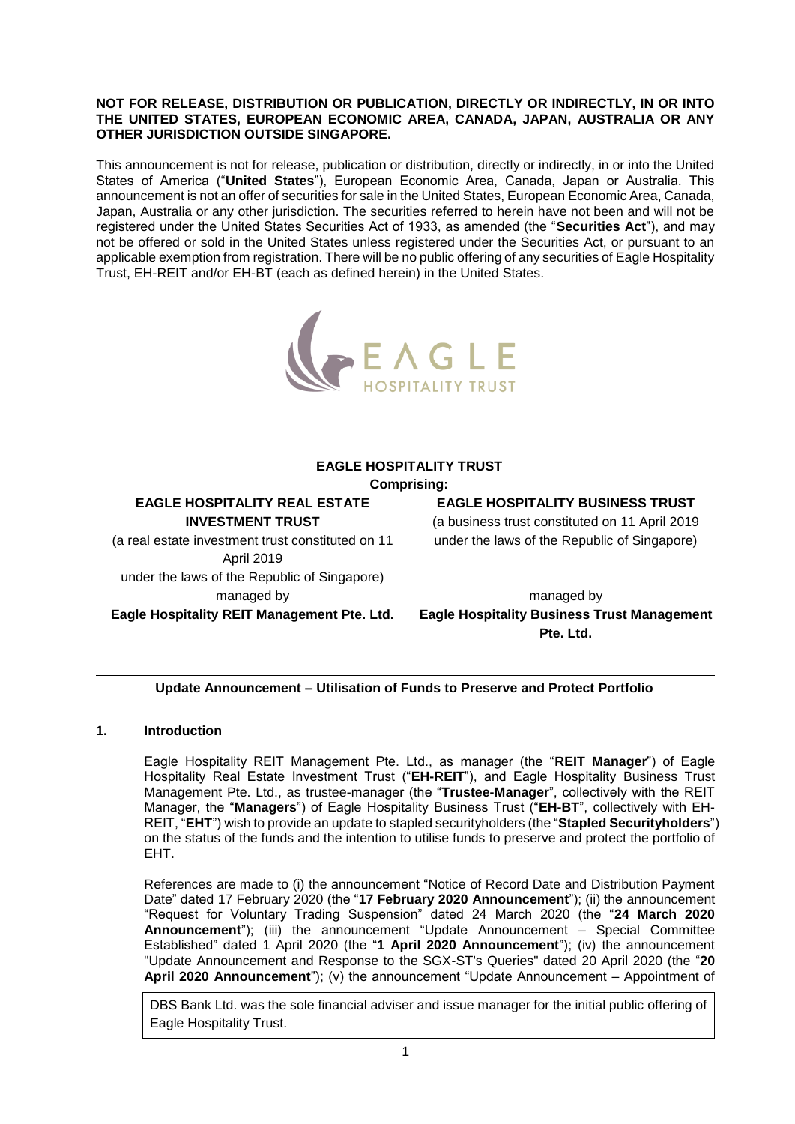#### **NOT FOR RELEASE, DISTRIBUTION OR PUBLICATION, DIRECTLY OR INDIRECTLY, IN OR INTO THE UNITED STATES, EUROPEAN ECONOMIC AREA, CANADA, JAPAN, AUSTRALIA OR ANY OTHER JURISDICTION OUTSIDE SINGAPORE.**

This announcement is not for release, publication or distribution, directly or indirectly, in or into the United States of America ("**United States**"), European Economic Area, Canada, Japan or Australia. This announcement is not an offer of securities for sale in the United States, European Economic Area, Canada, Japan, Australia or any other jurisdiction. The securities referred to herein have not been and will not be registered under the United States Securities Act of 1933, as amended (the "**Securities Act**"), and may not be offered or sold in the United States unless registered under the Securities Act, or pursuant to an applicable exemption from registration. There will be no public offering of any securities of Eagle Hospitality Trust, EH-REIT and/or EH-BT (each as defined herein) in the United States.



# **EAGLE HOSPITALITY TRUST**

**Comprising:**

**EAGLE HOSPITALITY REAL ESTATE INVESTMENT TRUST**

(a real estate investment trust constituted on 11 April 2019 under the laws of the Republic of Singapore) managed by **Eagle Hospitality REIT Management Pte. Ltd.** **EAGLE HOSPITALITY BUSINESS TRUST**

(a business trust constituted on 11 April 2019 under the laws of the Republic of Singapore)

managed by **Eagle Hospitality Business Trust Management Pte. Ltd.**

# **Update Announcement – Utilisation of Funds to Preserve and Protect Portfolio**

# **1. Introduction**

Eagle Hospitality REIT Management Pte. Ltd., as manager (the "**REIT Manager**") of Eagle Hospitality Real Estate Investment Trust ("**EH-REIT**"), and Eagle Hospitality Business Trust Management Pte. Ltd., as trustee-manager (the "**Trustee-Manager**", collectively with the REIT Manager, the "**Managers**") of Eagle Hospitality Business Trust ("**EH-BT**", collectively with EH-REIT, "**EHT**") wish to provide an update to stapled securityholders (the "**Stapled Securityholders**") on the status of the funds and the intention to utilise funds to preserve and protect the portfolio of EHT.

References are made to (i) the announcement "Notice of Record Date and Distribution Payment Date" dated 17 February 2020 (the "**17 February 2020 Announcement**"); (ii) the announcement "Request for Voluntary Trading Suspension" dated 24 March 2020 (the "**24 March 2020 Announcement**"); (iii) the announcement "Update Announcement – Special Committee Established" dated 1 April 2020 (the "**1 April 2020 Announcement**"); (iv) the announcement "Update Announcement and Response to the SGX-ST's Queries" dated 20 April 2020 (the "**20 April 2020 Announcement**"); (v) the announcement "Update Announcement – Appointment of

DBS Bank Ltd. was the sole financial adviser and issue manager for the initial public offering of Eagle Hospitality Trust.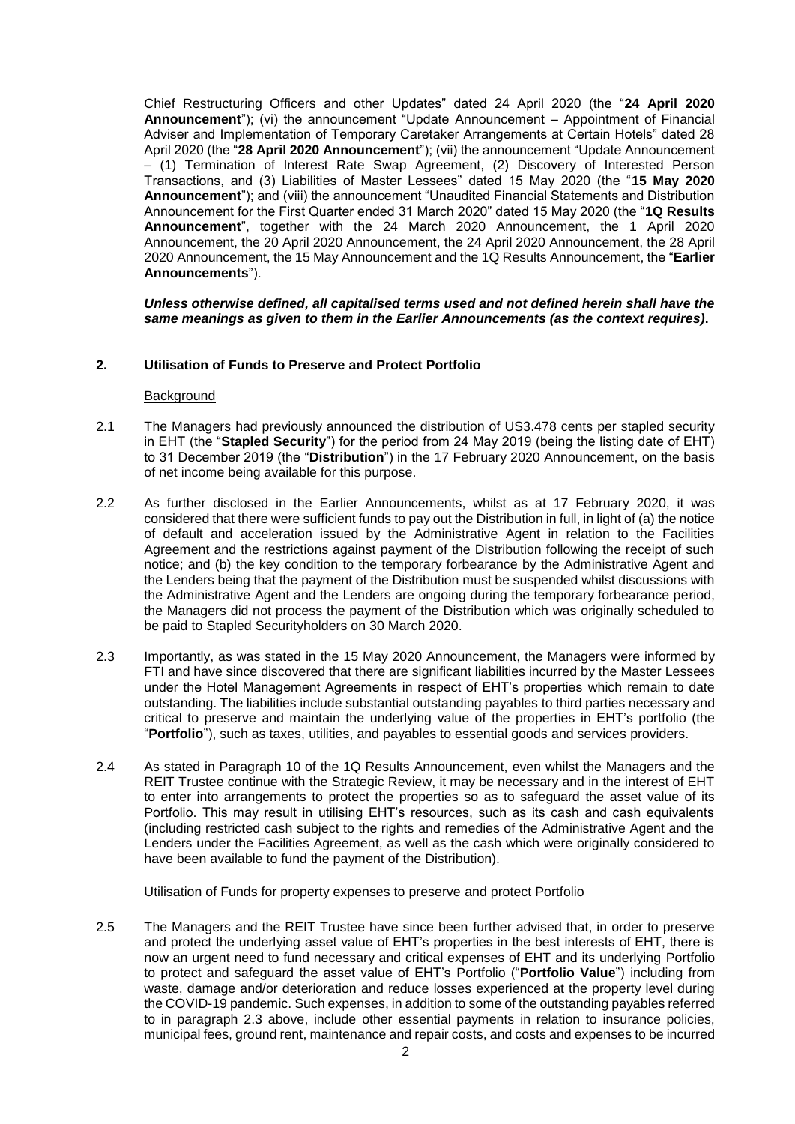Chief Restructuring Officers and other Updates" dated 24 April 2020 (the "**24 April 2020 Announcement**"); (vi) the announcement "Update Announcement – Appointment of Financial Adviser and Implementation of Temporary Caretaker Arrangements at Certain Hotels" dated 28 April 2020 (the "**28 April 2020 Announcement**"); (vii) the announcement "Update Announcement – (1) Termination of Interest Rate Swap Agreement, (2) Discovery of Interested Person Transactions, and (3) Liabilities of Master Lessees" dated 15 May 2020 (the "**15 May 2020 Announcement**"); and (viii) the announcement "Unaudited Financial Statements and Distribution Announcement for the First Quarter ended 31 March 2020" dated 15 May 2020 (the "**1Q Results Announcement**", together with the 24 March 2020 Announcement, the 1 April 2020 Announcement, the 20 April 2020 Announcement, the 24 April 2020 Announcement, the 28 April 2020 Announcement, the 15 May Announcement and the 1Q Results Announcement, the "**Earlier Announcements**").

*Unless otherwise defined, all capitalised terms used and not defined herein shall have the same meanings as given to them in the Earlier Announcements (as the context requires)***.** 

### **2. Utilisation of Funds to Preserve and Protect Portfolio**

#### **Background**

- 2.1 The Managers had previously announced the distribution of US3.478 cents per stapled security in EHT (the "**Stapled Security**") for the period from 24 May 2019 (being the listing date of EHT) to 31 December 2019 (the "**Distribution**") in the 17 February 2020 Announcement, on the basis of net income being available for this purpose.
- 2.2 As further disclosed in the Earlier Announcements, whilst as at 17 February 2020, it was considered that there were sufficient funds to pay out the Distribution in full, in light of (a) the notice of default and acceleration issued by the Administrative Agent in relation to the Facilities Agreement and the restrictions against payment of the Distribution following the receipt of such notice; and (b) the key condition to the temporary forbearance by the Administrative Agent and the Lenders being that the payment of the Distribution must be suspended whilst discussions with the Administrative Agent and the Lenders are ongoing during the temporary forbearance period, the Managers did not process the payment of the Distribution which was originally scheduled to be paid to Stapled Securityholders on 30 March 2020.
- 2.3 Importantly, as was stated in the 15 May 2020 Announcement, the Managers were informed by FTI and have since discovered that there are significant liabilities incurred by the Master Lessees under the Hotel Management Agreements in respect of EHT's properties which remain to date outstanding. The liabilities include substantial outstanding payables to third parties necessary and critical to preserve and maintain the underlying value of the properties in EHT's portfolio (the "**Portfolio**"), such as taxes, utilities, and payables to essential goods and services providers.
- 2.4 As stated in Paragraph 10 of the 1Q Results Announcement, even whilst the Managers and the REIT Trustee continue with the Strategic Review, it may be necessary and in the interest of EHT to enter into arrangements to protect the properties so as to safeguard the asset value of its Portfolio. This may result in utilising EHT's resources, such as its cash and cash equivalents (including restricted cash subject to the rights and remedies of the Administrative Agent and the Lenders under the Facilities Agreement, as well as the cash which were originally considered to have been available to fund the payment of the Distribution).

### Utilisation of Funds for property expenses to preserve and protect Portfolio

2.5 The Managers and the REIT Trustee have since been further advised that, in order to preserve and protect the underlying asset value of EHT's properties in the best interests of EHT, there is now an urgent need to fund necessary and critical expenses of EHT and its underlying Portfolio to protect and safeguard the asset value of EHT's Portfolio ("**Portfolio Value**") including from waste, damage and/or deterioration and reduce losses experienced at the property level during the COVID-19 pandemic. Such expenses, in addition to some of the outstanding payables referred to in paragraph 2.3 above, include other essential payments in relation to insurance policies, municipal fees, ground rent, maintenance and repair costs, and costs and expenses to be incurred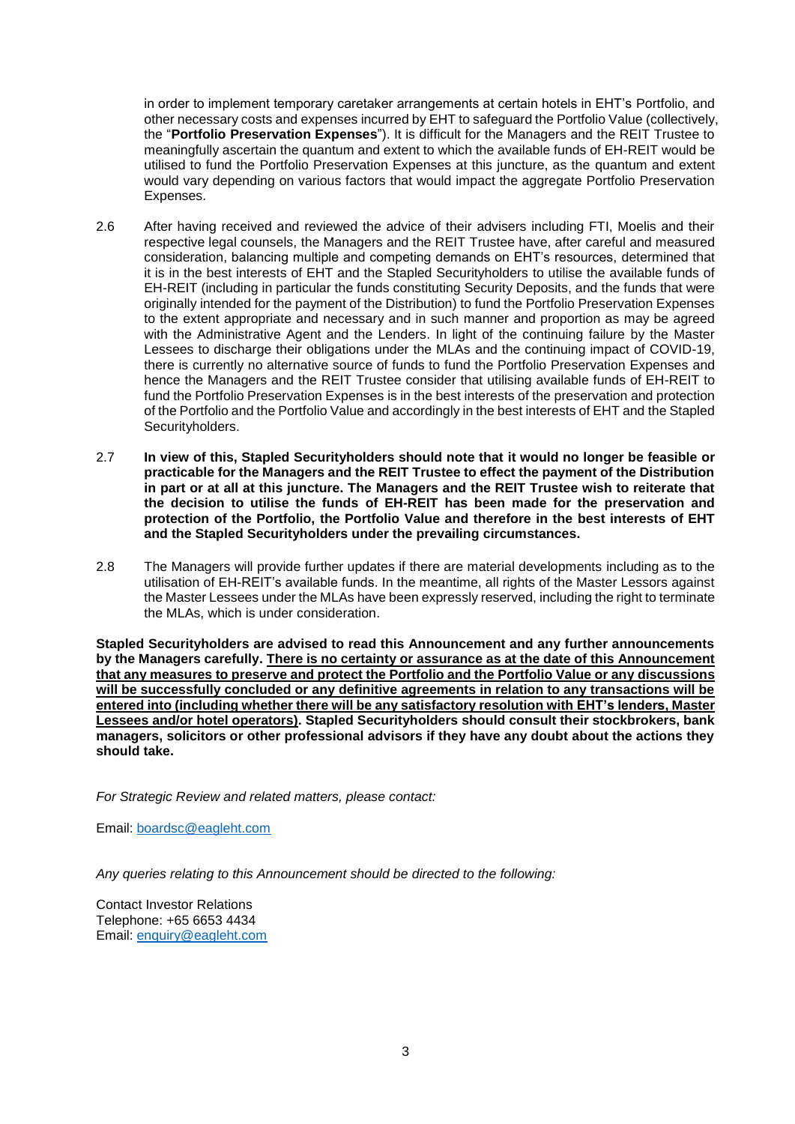in order to implement temporary caretaker arrangements at certain hotels in EHT's Portfolio, and other necessary costs and expenses incurred by EHT to safeguard the Portfolio Value (collectively, the "**Portfolio Preservation Expenses**"). It is difficult for the Managers and the REIT Trustee to meaningfully ascertain the quantum and extent to which the available funds of EH-REIT would be utilised to fund the Portfolio Preservation Expenses at this juncture, as the quantum and extent would vary depending on various factors that would impact the aggregate Portfolio Preservation Expenses.

- 2.6 After having received and reviewed the advice of their advisers including FTI, Moelis and their respective legal counsels, the Managers and the REIT Trustee have, after careful and measured consideration, balancing multiple and competing demands on EHT's resources, determined that it is in the best interests of EHT and the Stapled Securityholders to utilise the available funds of EH-REIT (including in particular the funds constituting Security Deposits, and the funds that were originally intended for the payment of the Distribution) to fund the Portfolio Preservation Expenses to the extent appropriate and necessary and in such manner and proportion as may be agreed with the Administrative Agent and the Lenders. In light of the continuing failure by the Master Lessees to discharge their obligations under the MLAs and the continuing impact of COVID-19, there is currently no alternative source of funds to fund the Portfolio Preservation Expenses and hence the Managers and the REIT Trustee consider that utilising available funds of EH-REIT to fund the Portfolio Preservation Expenses is in the best interests of the preservation and protection of the Portfolio and the Portfolio Value and accordingly in the best interests of EHT and the Stapled Securityholders.
- 2.7 **In view of this, Stapled Securityholders should note that it would no longer be feasible or practicable for the Managers and the REIT Trustee to effect the payment of the Distribution in part or at all at this juncture. The Managers and the REIT Trustee wish to reiterate that the decision to utilise the funds of EH-REIT has been made for the preservation and protection of the Portfolio, the Portfolio Value and therefore in the best interests of EHT and the Stapled Securityholders under the prevailing circumstances.**
- 2.8 The Managers will provide further updates if there are material developments including as to the utilisation of EH-REIT's available funds. In the meantime, all rights of the Master Lessors against the Master Lessees under the MLAs have been expressly reserved, including the right to terminate the MLAs, which is under consideration.

**Stapled Securityholders are advised to read this Announcement and any further announcements by the Managers carefully. There is no certainty or assurance as at the date of this Announcement that any measures to preserve and protect the Portfolio and the Portfolio Value or any discussions will be successfully concluded or any definitive agreements in relation to any transactions will be entered into (including whether there will be any satisfactory resolution with EHT's lenders, Master Lessees and/or hotel operators). Stapled Securityholders should consult their stockbrokers, bank managers, solicitors or other professional advisors if they have any doubt about the actions they should take.**

*For Strategic Review and related matters, please contact:*

Email: [boardsc@eagleht.com](mailto:boardsc@eagleht.com)

*Any queries relating to this Announcement should be directed to the following:*

Contact Investor Relations Telephone: +65 6653 4434 Email: [enquiry@eagleht.com](mailto:enquiry@eagleht.com)